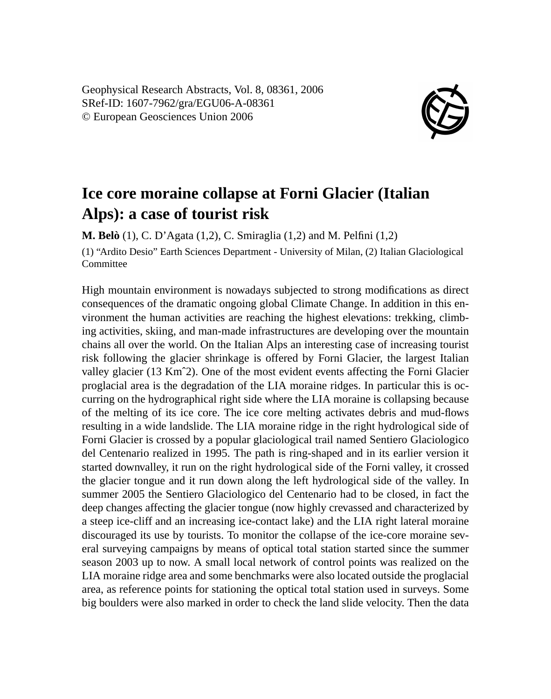Geophysical Research Abstracts, Vol. 8, 08361, 2006 SRef-ID: 1607-7962/gra/EGU06-A-08361 © European Geosciences Union 2006



## **Ice core moraine collapse at Forni Glacier (Italian Alps): a case of tourist risk**

**M. Belò** (1), C. D'Agata (1,2), C. Smiraglia (1,2) and M. Pelfini (1,2)

(1) "Ardito Desio" Earth Sciences Department - University of Milan, (2) Italian Glaciological **Committee** 

High mountain environment is nowadays subjected to strong modifications as direct consequences of the dramatic ongoing global Climate Change. In addition in this environment the human activities are reaching the highest elevations: trekking, climbing activities, skiing, and man-made infrastructures are developing over the mountain chains all over the world. On the Italian Alps an interesting case of increasing tourist risk following the glacier shrinkage is offered by Forni Glacier, the largest Italian valley glacier (13 Kmˆ2). One of the most evident events affecting the Forni Glacier proglacial area is the degradation of the LIA moraine ridges. In particular this is occurring on the hydrographical right side where the LIA moraine is collapsing because of the melting of its ice core. The ice core melting activates debris and mud-flows resulting in a wide landslide. The LIA moraine ridge in the right hydrological side of Forni Glacier is crossed by a popular glaciological trail named Sentiero Glaciologico del Centenario realized in 1995. The path is ring-shaped and in its earlier version it started downvalley, it run on the right hydrological side of the Forni valley, it crossed the glacier tongue and it run down along the left hydrological side of the valley. In summer 2005 the Sentiero Glaciologico del Centenario had to be closed, in fact the deep changes affecting the glacier tongue (now highly crevassed and characterized by a steep ice-cliff and an increasing ice-contact lake) and the LIA right lateral moraine discouraged its use by tourists. To monitor the collapse of the ice-core moraine several surveying campaigns by means of optical total station started since the summer season 2003 up to now. A small local network of control points was realized on the LIA moraine ridge area and some benchmarks were also located outside the proglacial area, as reference points for stationing the optical total station used in surveys. Some big boulders were also marked in order to check the land slide velocity. Then the data